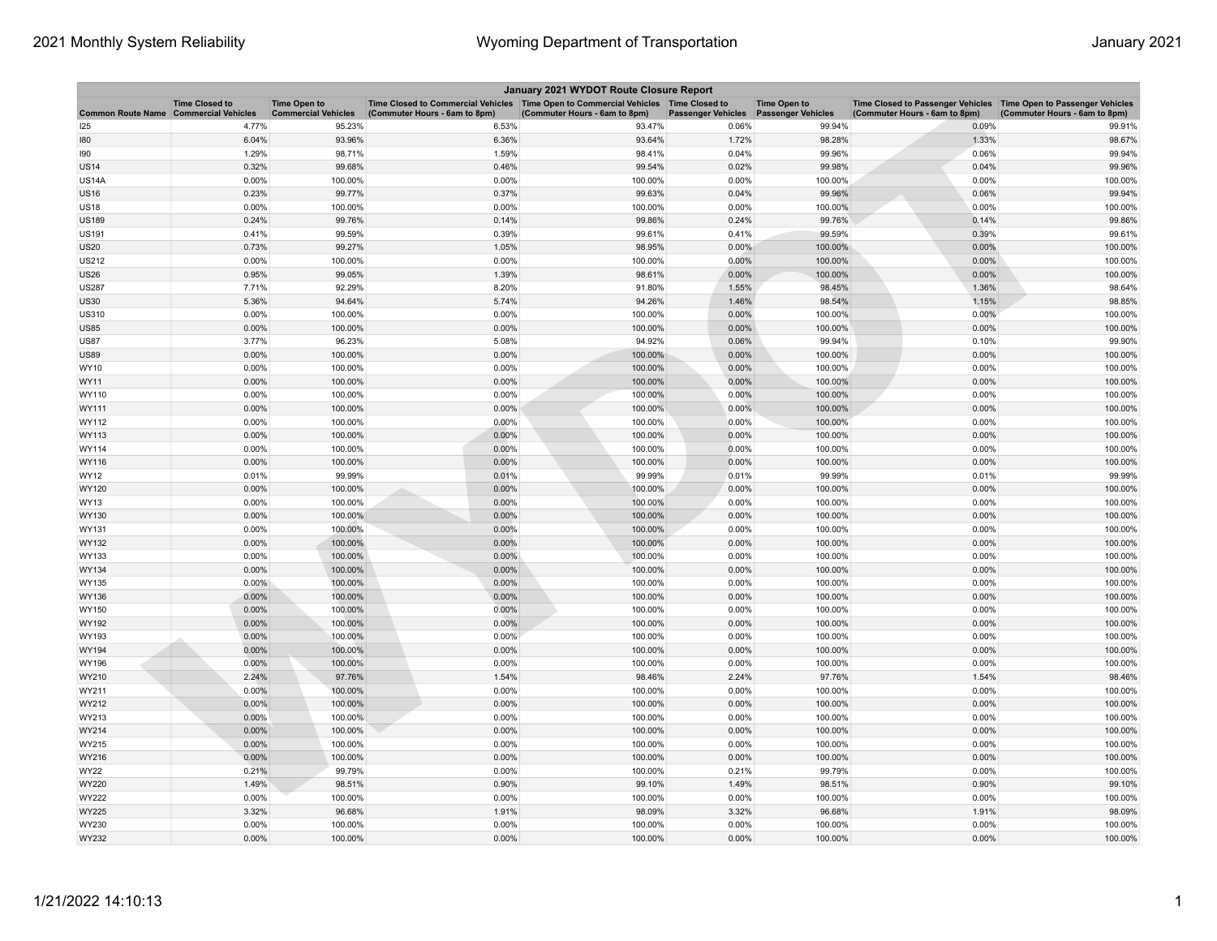| January 2021 WYDOT Route Closure Report      |                       |                                                   |                                                                                                                         |                               |                           |                                                  |                                                                                                      |                               |  |
|----------------------------------------------|-----------------------|---------------------------------------------------|-------------------------------------------------------------------------------------------------------------------------|-------------------------------|---------------------------|--------------------------------------------------|------------------------------------------------------------------------------------------------------|-------------------------------|--|
| <b>Common Route Name Commercial Vehicles</b> | <b>Time Closed to</b> | <b>Time Open to</b><br><b>Commercial Vehicles</b> | Time Closed to Commercial Vehicles   Time Open to Commercial Vehicles   Time Closed to<br>(Commuter Hours - 6am to 8pm) | (Commuter Hours - 6am to 8pm) | <b>Passenger Vehicles</b> | <b>Time Open to</b><br><b>Passenger Vehicles</b> | Time Closed to Passenger Vehicles   Time Open to Passenger Vehicles<br>(Commuter Hours - 6am to 8pm) | (Commuter Hours - 6am to 8pm) |  |
| 125                                          | 4.77%                 | 95.23%                                            | 6.53%                                                                                                                   | 93.47%                        | 0.06%                     | 99.94%                                           | 0.09%                                                                                                | 99.91%                        |  |
| 180                                          | 6.04%                 | 93.96%                                            | 6.36%                                                                                                                   | 93.64%                        | 1.72%                     | 98.28%                                           | 1.33%                                                                                                | 98.67%                        |  |
| 190                                          | 1.29%                 | 98.71%                                            | 1.59%                                                                                                                   | 98.41%                        | 0.04%                     | 99.96%                                           | 0.06%                                                                                                | 99.94%                        |  |
| <b>US14</b>                                  | 0.32%                 | 99.68%                                            | 0.46%                                                                                                                   | 99.54%                        | 0.02%                     | 99.98%                                           | 0.04%                                                                                                | 99.96%                        |  |
| <b>US14A</b>                                 | 0.00%                 | 100.00%                                           | 0.00%                                                                                                                   | 100.00%                       | 0.00%                     | 100.00%                                          | 0.00%                                                                                                | 100.00%                       |  |
| <b>US16</b>                                  | 0.23%                 | 99.77%                                            | 0.37%                                                                                                                   | 99.63%                        | 0.04%                     | 99.96%                                           | 0.06%                                                                                                | 99.94%                        |  |
| <b>US18</b>                                  | 0.00%                 | 100.00%                                           | 0.00%                                                                                                                   | 100.00%                       | 0.00%                     | 100.00%                                          | 0.00%                                                                                                | 100.00%                       |  |
| <b>US189</b>                                 | 0.24%                 | 99.76%                                            | 0.14%                                                                                                                   | 99.86%                        | 0.24%                     | 99.76%                                           | 0.14%                                                                                                | 99.86%                        |  |
| <b>US191</b>                                 | 0.41%                 | 99.59%                                            | 0.39%                                                                                                                   | 99.61%                        | 0.41%                     | 99.59%                                           | 0.39%                                                                                                | 99.61%                        |  |
| <b>US20</b>                                  | 0.73%                 | 99.27%                                            | 1.05%                                                                                                                   | 98.95%                        | 0.00%                     | 100.00%                                          | 0.00%                                                                                                | 100.00%                       |  |
| <b>US212</b>                                 | 0.00%                 | 100.00%                                           | 0.00%                                                                                                                   | 100.00%                       | 0.00%                     | 100.00%                                          | 0.00%                                                                                                | 100.00%                       |  |
| <b>US26</b>                                  | 0.95%                 | 99.05%                                            | 1.39%                                                                                                                   | 98.61%                        | 0.00%                     | 100.00%                                          | 0.00%                                                                                                | 100.00%                       |  |
| <b>US287</b>                                 | 7.71%                 | 92.29%                                            | 8.20%                                                                                                                   | 91.80%                        | 1.55%                     | 98.45%                                           | 1.36%                                                                                                | 98.64%                        |  |
| US30                                         | 5.36%                 | 94.64%                                            | 5.74%                                                                                                                   | 94.26%                        | 1.46%                     | 98.54%                                           | 1.15%                                                                                                | 98.85%                        |  |
| US310                                        | 0.00%                 | 100.00%                                           | 0.00%                                                                                                                   | 100.00%                       | 0.00%                     | 100.00%                                          | 0.00%                                                                                                | 100.00%                       |  |
| <b>US85</b>                                  | 0.00%                 | 100.00%                                           | 0.00%                                                                                                                   | 100.00%                       | 0.00%                     | 100.00%                                          | 0.00%                                                                                                | 100.00%                       |  |
| <b>US87</b>                                  | 3.77%                 | 96.23%                                            | 5.08%                                                                                                                   | 94.92%                        | 0.06%                     | 99.94%                                           | 0.10%                                                                                                | 99.90%                        |  |
| <b>US89</b>                                  | 0.00%                 | 100.00%                                           | 0.00%                                                                                                                   | 100.00%                       | 0.00%                     | 100.00%                                          | 0.00%                                                                                                | 100.00%                       |  |
| WY10                                         | 0.00%                 | 100.00%                                           | 0.00%                                                                                                                   | 100.00%                       | 0.00%                     | 100.00%                                          | 0.00%                                                                                                | 100.00%                       |  |
| WY11                                         | 0.00%                 | 100.00%                                           | 0.00%                                                                                                                   | 100.00%                       | 0.00%                     | 100.00%                                          | 0.00%                                                                                                | 100.00%                       |  |
| WY110                                        | 0.00%                 | 100.00%                                           | 0.00%                                                                                                                   | 100.00%                       | 0.00%                     | 100.00%                                          | 0.00%                                                                                                | 100.00%                       |  |
| WY111                                        | 0.00%                 | 100.00%                                           | 0.00%                                                                                                                   | 100.00%                       | 0.00%                     | 100.00%                                          | 0.00%                                                                                                | 100.00%                       |  |
| WY112<br>WY113                               | 0.00%<br>0.00%        | 100.00%                                           | 0.00%<br>0.00%                                                                                                          | 100.00%<br>100.00%            | 0.00%<br>0.00%            | 100.00%                                          | 0.00%<br>0.00%                                                                                       | 100.00%<br>100.00%            |  |
|                                              |                       | 100.00%                                           |                                                                                                                         |                               |                           | 100.00%                                          |                                                                                                      |                               |  |
| WY114<br>WY116                               | 0.00%<br>0.00%        | 100.00%<br>100.00%                                | 0.00%<br>0.00%                                                                                                          | 100.00%<br>100.00%            | 0.00%<br>0.00%            | 100.00%<br>100.00%                               | 0.00%<br>0.00%                                                                                       | 100.00%<br>100.00%            |  |
| WY12                                         | 0.01%                 | 99.99%                                            | 0.01%                                                                                                                   | 99.99%                        | 0.01%                     | 99.99%                                           | 0.01%                                                                                                | 99.99%                        |  |
| WY120                                        | 0.00%                 | 100.00%                                           | 0.00%                                                                                                                   | 100.00%                       | 0.00%                     | 100.00%                                          | 0.00%                                                                                                | 100.00%                       |  |
| WY13                                         | 0.00%                 | 100.00%                                           | 0.00%                                                                                                                   | 100.00%                       | 0.00%                     | 100.00%                                          | 0.00%                                                                                                | 100.00%                       |  |
| WY130                                        | 0.00%                 | 100.00%                                           | 0.00%                                                                                                                   | 100.00%                       | 0.00%                     | 100.00%                                          | 0.00%                                                                                                | 100.00%                       |  |
| WY131                                        | 0.00%                 | 100.00%                                           | 0.00%                                                                                                                   | 100.00%                       | 0.00%                     | 100.00%                                          | 0.00%                                                                                                | 100.00%                       |  |
| WY132                                        | 0.00%                 | 100.00%                                           | 0.00%                                                                                                                   | 100.00%                       | 0.00%                     | 100.00%                                          | 0.00%                                                                                                | 100.00%                       |  |
| WY133                                        | 0.00%                 | 100.00%                                           | 0.00%                                                                                                                   | 100.00%                       | 0.00%                     | 100.00%                                          | 0.00%                                                                                                | 100.00%                       |  |
| WY134                                        | 0.00%                 | 100.00%                                           | 0.00%                                                                                                                   | 100.00%                       | 0.00%                     | 100.00%                                          | 0.00%                                                                                                | 100.00%                       |  |
| WY135                                        | $0.00\%$              | 100.00%                                           | 0.00%                                                                                                                   | 100.00%                       | 0.00%                     | 100.00%                                          | 0.00%                                                                                                | 100.00%                       |  |
| WY136                                        | 0.00%                 | 100.00%                                           | 0.00%                                                                                                                   | 100.00%                       | 0.00%                     | 100.00%                                          | 0.00%                                                                                                | 100.00%                       |  |
| WY150                                        | 0.00%                 | 100.00%                                           | 0.00%                                                                                                                   | 100.00%                       | 0.00%                     | 100.00%                                          | 0.00%                                                                                                | 100.00%                       |  |
| WY192                                        | 0.00%                 | 100.00%                                           | 0.00%                                                                                                                   | 100.00%                       | 0.00%                     | 100.00%                                          | 0.00%                                                                                                | 100.00%                       |  |
| WY193                                        | 0.00%                 | 100.00%                                           | 0.00%                                                                                                                   | 100.00%                       | 0.00%                     | 100.00%                                          | 0.00%                                                                                                | 100.00%                       |  |
| WY194                                        | 0.00%                 | 100.00%                                           | 0.00%                                                                                                                   | 100.00%                       | 0.00%                     | 100.00%                                          | 0.00%                                                                                                | 100.00%                       |  |
| WY196                                        | 0.00%                 | 100.00%                                           | 0.00%                                                                                                                   | 100.00%                       | 0.00%                     | 100.00%                                          | 0.00%                                                                                                | 100.00%                       |  |
| WY210                                        | 2.24%                 | 97.76%                                            | 1.54%                                                                                                                   | 98.46%                        | 2.24%                     | 97.76%                                           | 1.54%                                                                                                | 98.46%                        |  |
| WY211                                        | 0.00%                 | 100.00%                                           | 0.00%                                                                                                                   | 100.00%                       | 0.00%                     | 100.00%                                          | 0.00%                                                                                                | 100.00%                       |  |
| WY212                                        | 0.00%                 | 100.00%                                           | 0.00%                                                                                                                   | 100.00%                       | 0.00%                     | 100.00%                                          | 0.00%                                                                                                | 100.00%                       |  |
| WY213                                        | 0.00%                 | 100.00%                                           | 0.00%                                                                                                                   | 100.00%                       | 0.00%                     | 100.00%                                          | 0.00%                                                                                                | 100.00%                       |  |
| WY214                                        | 0.00%                 | 100.00%                                           | 0.00%                                                                                                                   | 100.00%                       | 0.00%                     | 100.00%                                          | 0.00%                                                                                                | 100.00%                       |  |
| WY215                                        | 0.00%                 | 100.00%                                           | 0.00%                                                                                                                   | 100.00%                       | 0.00%                     | 100.00%                                          | 0.00%                                                                                                | 100.00%                       |  |
| WY216                                        | 0.00%                 | 100.00%                                           | 0.00%                                                                                                                   | 100.00%                       | 0.00%                     | 100.00%                                          | 0.00%                                                                                                | 100.00%                       |  |
| WY22                                         | 0.21%                 | 99.79%                                            | 0.00%                                                                                                                   | 100.00%                       | 0.21%                     | 99.79%                                           | 0.00%                                                                                                | 100.00%                       |  |
| WY220                                        | 1.49%                 | 98.51%                                            | 0.90%                                                                                                                   | 99.10%                        | 1.49%                     | 98.51%                                           | 0.90%                                                                                                | 99.10%                        |  |
| WY222                                        | 0.00%                 | 100.00%                                           | 0.00%                                                                                                                   | 100.00%                       | 0.00%                     | 100.00%                                          | 0.00%                                                                                                | 100.00%                       |  |
| WY225                                        | 3.32%                 | 96.68%                                            | 1.91%                                                                                                                   | 98.09%                        | 3.32%                     | 96.68%                                           | 1.91%                                                                                                | 98.09%                        |  |
| WY230                                        | 0.00%                 | 100.00%                                           | 0.00%                                                                                                                   | 100.00%                       | 0.00%                     | 100.00%                                          | 0.00%                                                                                                | 100.00%                       |  |
| WY232                                        | 0.00%                 | 100.00%                                           | 0.00%                                                                                                                   | 100.00%                       | 0.00%                     | 100.00%                                          | 0.00%                                                                                                | 100.00%                       |  |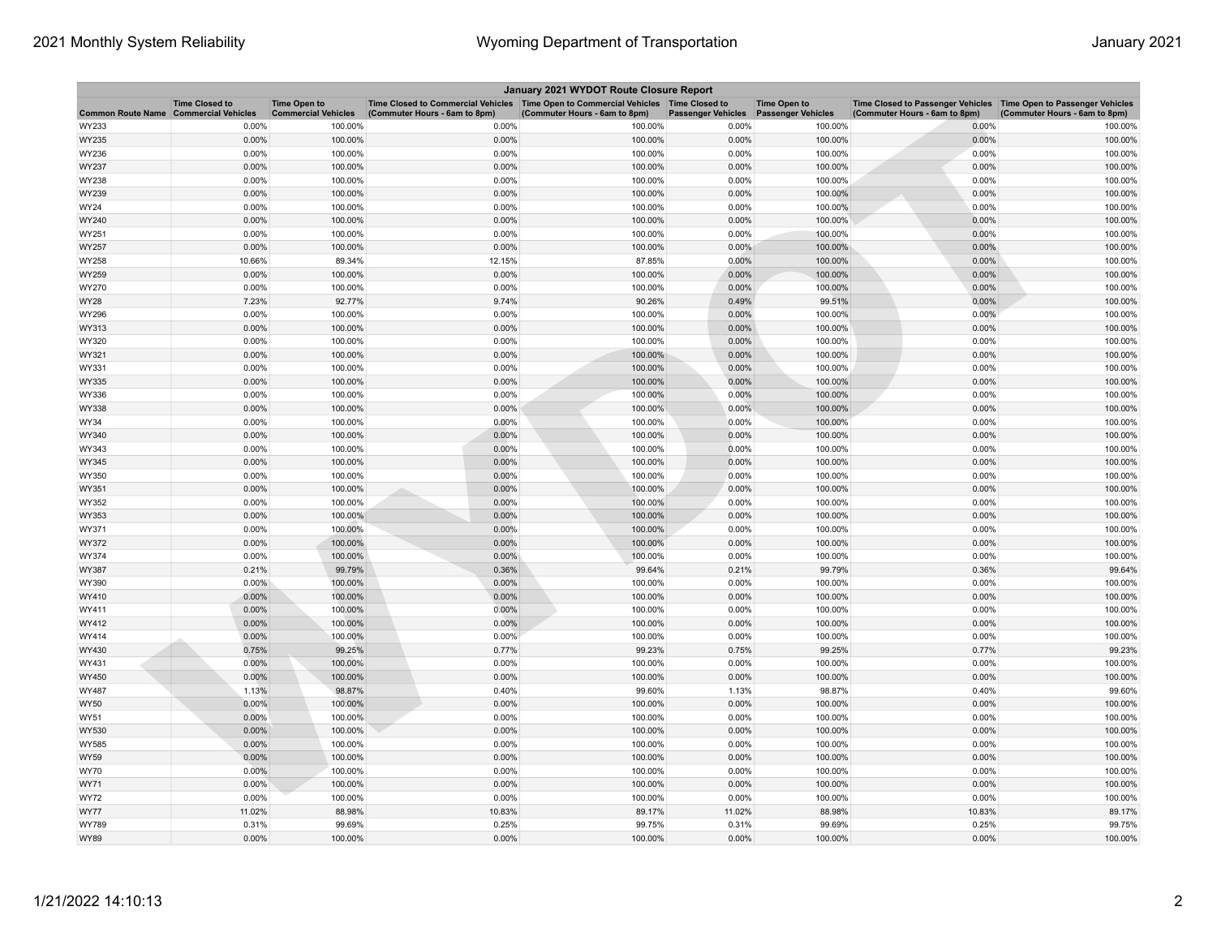| January 2021 WYDOT Route Closure Report |                       |                                                   |                                                                                                                         |                               |                           |                                                  |                                                                                                      |                               |  |
|-----------------------------------------|-----------------------|---------------------------------------------------|-------------------------------------------------------------------------------------------------------------------------|-------------------------------|---------------------------|--------------------------------------------------|------------------------------------------------------------------------------------------------------|-------------------------------|--|
| Common Route Name Commercial Vehicles   | <b>Time Closed to</b> | <b>Time Open to</b><br><b>Commercial Vehicles</b> | Time Closed to Commercial Vehicles   Time Open to Commercial Vehicles   Time Closed to<br>(Commuter Hours - 6am to 8pm) | (Commuter Hours - 6am to 8pm) | <b>Passenger Vehicles</b> | <b>Time Open to</b><br><b>Passenger Vehicles</b> | Time Closed to Passenger Vehicles   Time Open to Passenger Vehicles<br>(Commuter Hours - 6am to 8pm) | (Commuter Hours - 6am to 8pm) |  |
| WY233                                   | 0.00%                 | 100.00%                                           | 0.00%                                                                                                                   | 100.00%                       | 0.00%                     | 100.00%                                          | 0.00%                                                                                                | 100.00%                       |  |
| WY235                                   | 0.00%                 | 100.00%                                           | 0.00%                                                                                                                   | 100.00%                       | 0.00%                     | 100.00%                                          | 0.00%                                                                                                | 100.00%                       |  |
| WY236                                   | 0.00%                 | 100.00%                                           | 0.00%                                                                                                                   | 100.00%                       | 0.00%                     | 100.00%                                          | 0.00%                                                                                                | 100.00%                       |  |
| WY237                                   | 0.00%                 | 100.00%                                           | 0.00%                                                                                                                   | 100.00%                       | 0.00%                     | 100.00%                                          | 0.00%                                                                                                | 100.00%                       |  |
| WY238                                   | 0.00%                 | 100.00%                                           | 0.00%                                                                                                                   | 100.00%                       | 0.00%                     | 100.00%                                          | 0.00%                                                                                                | 100.00%                       |  |
| WY239                                   | 0.00%                 | 100.00%                                           | 0.00%                                                                                                                   | 100.00%                       | 0.00%                     | 100.00%                                          | 0.00%                                                                                                | 100.00%                       |  |
| WY24                                    | 0.00%                 | 100.00%                                           | 0.00%                                                                                                                   | 100.00%                       | 0.00%                     | 100.00%                                          | 0.00%                                                                                                | 100.00%                       |  |
| WY240                                   | 0.00%                 | 100.00%                                           | 0.00%                                                                                                                   | 100.00%                       | 0.00%                     | 100.00%                                          | 0.00%                                                                                                | 100.00%                       |  |
| WY251                                   | 0.00%                 | 100.00%                                           | 0.00%                                                                                                                   | 100.00%                       | 0.00%                     | 100.00%                                          | 0.00%                                                                                                | 100.00%                       |  |
| WY257                                   | 0.00%                 | 100.00%                                           | 0.00%                                                                                                                   | 100.00%                       | 0.00%                     | 100.00%                                          | 0.00%                                                                                                | 100.00%                       |  |
| WY258                                   | 10.66%                | 89.34%                                            | 12.15%                                                                                                                  | 87.85%                        | 0.00%                     | 100.00%                                          | 0.00%                                                                                                | 100.00%                       |  |
| WY259                                   | 0.00%                 | 100.00%                                           | 0.00%                                                                                                                   | 100.00%                       | 0.00%                     | 100.00%                                          | 0.00%                                                                                                | 100.00%                       |  |
| WY270                                   | 0.00%                 | 100.00%                                           | 0.00%                                                                                                                   | 100.00%                       | 0.00%                     | 100.00%                                          | 0.00%                                                                                                | 100.00%                       |  |
| WY28                                    | 7.23%                 | 92.77%                                            | 9.74%                                                                                                                   | 90.26%                        | 0.49%                     | 99.51%                                           | 0.00%                                                                                                | 100.00%                       |  |
| WY296                                   | 0.00%                 | 100.00%                                           | 0.00%                                                                                                                   | 100.00%                       | 0.00%                     | 100.00%                                          | 0.00%                                                                                                | 100.00%                       |  |
| WY313                                   | 0.00%                 | 100.00%                                           | 0.00%                                                                                                                   | 100.00%                       | 0.00%                     | 100.00%                                          | 0.00%                                                                                                | 100.00%                       |  |
| WY320                                   | 0.00%                 | 100.00%                                           | 0.00%                                                                                                                   | 100.00%                       | 0.00%                     | 100.00%                                          | 0.00%                                                                                                | 100.00%                       |  |
| WY321                                   | 0.00%                 | 100.00%                                           | 0.00%                                                                                                                   | 100.00%                       | 0.00%                     | 100.00%                                          | 0.00%                                                                                                | 100.00%                       |  |
| WY331                                   | 0.00%                 | 100.00%                                           | 0.00%                                                                                                                   | 100.00%                       | 0.00%                     | 100.00%                                          | 0.00%                                                                                                | 100.00%                       |  |
| WY335                                   | 0.00%                 | 100.00%                                           | 0.00%                                                                                                                   | 100.00%                       | 0.00%                     | 100.00%                                          | 0.00%                                                                                                | 100.00%                       |  |
| WY336                                   | 0.00%                 | 100.00%                                           | 0.00%                                                                                                                   | 100.00%                       | 0.00%                     | 100.00%                                          | 0.00%                                                                                                | 100.00%                       |  |
| WY338                                   | 0.00%                 | 100.00%                                           | 0.00%                                                                                                                   | 100.00%                       | 0.00%                     | 100.00%                                          | 0.00%                                                                                                | 100.00%                       |  |
| WY34                                    | 0.00%                 | 100.00%                                           | 0.00%                                                                                                                   | 100.00%                       | 0.00%                     | 100.00%                                          | 0.00%                                                                                                | 100.00%                       |  |
| WY340                                   | 0.00%                 | 100.00%                                           | 0.00%                                                                                                                   | 100.00%                       | 0.00%                     | 100.00%                                          | 0.00%                                                                                                | 100.00%                       |  |
| WY343                                   | 0.00%                 | 100.00%                                           | 0.00%                                                                                                                   | 100.00%                       | 0.00%                     | 100.00%                                          | 0.00%                                                                                                | 100.00%                       |  |
| WY345                                   | 0.00%                 | 100.00%                                           | 0.00%                                                                                                                   | 100.00%                       | 0.00%                     | 100.00%                                          | 0.00%                                                                                                | 100.00%                       |  |
| WY350                                   | 0.00%                 | 100.00%                                           | 0.00%                                                                                                                   | 100.00%                       | 0.00%                     | 100.00%                                          | 0.00%                                                                                                | 100.00%                       |  |
| WY351                                   | 0.00%                 | 100.00%                                           | 0.00%                                                                                                                   | 100.00%                       | 0.00%                     | 100.00%                                          | 0.00%                                                                                                | 100.00%                       |  |
| WY352                                   | 0.00%                 | 100.00%                                           | 0.00%                                                                                                                   | 100.00%                       | 0.00%                     | 100.00%                                          | 0.00%                                                                                                | 100.00%                       |  |
| WY353                                   | 0.00%                 | 100.00%                                           | 0.00%                                                                                                                   | 100.00%                       | 0.00%                     | 100.00%                                          | 0.00%                                                                                                | 100.00%                       |  |
| WY371                                   | 0.00%                 | 100.00%                                           | 0.00%                                                                                                                   | 100.00%                       | 0.00%                     | 100.00%                                          | 0.00%                                                                                                | 100.00%                       |  |
| WY372                                   | 0.00%                 | 100.00%                                           | 0.00%                                                                                                                   | 100.00%                       | 0.00%                     | 100.00%                                          | 0.00%                                                                                                | 100.00%                       |  |
| WY374                                   | 0.00%                 | 100.00%                                           | 0.00%                                                                                                                   | 100.00%                       | 0.00%                     | 100.00%                                          | 0.00%                                                                                                | 100.00%                       |  |
| WY387                                   | 0.21%                 | 99.79%                                            | 0.36%                                                                                                                   | 99.64%                        | 0.21%                     | 99.79%                                           | 0.36%                                                                                                | 99.64%                        |  |
| WY390                                   | $0.00\%$              | 100.00%                                           | 0.00%                                                                                                                   | 100.00%                       | 0.00%                     | 100.00%                                          | 0.00%                                                                                                | 100.00%                       |  |
| WY410                                   | 0.00%                 | 100.00%                                           | 0.00%                                                                                                                   | 100.00%                       | 0.00%                     | 100.00%                                          | 0.00%                                                                                                | 100.00%                       |  |
| WY411                                   | 0.00%                 | 100.00%                                           | 0.00%                                                                                                                   | 100.00%                       | 0.00%                     | 100.00%                                          | 0.00%                                                                                                | 100.00%                       |  |
| WY412                                   | 0.00%                 | 100.00%                                           | 0.00%                                                                                                                   | 100.00%                       | 0.00%                     | 100.00%                                          | 0.00%                                                                                                | 100.00%                       |  |
| WY414                                   | 0.00%                 | 100.00%                                           | 0.00%                                                                                                                   | 100.00%                       | 0.00%                     | 100.00%                                          | 0.00%                                                                                                | 100.00%                       |  |
| WY430                                   | 0.75%                 | 99.25%                                            | 0.77%                                                                                                                   | 99.23%                        | 0.75%                     | 99.25%                                           | 0.77%                                                                                                | 99.23%                        |  |
| WY431                                   | 0.00%                 | 100.00%                                           | 0.00%                                                                                                                   | 100.00%                       | 0.00%                     | 100.00%                                          | 0.00%                                                                                                | 100.00%                       |  |
| WY450                                   | 0.00%                 | 100.00%                                           | 0.00%                                                                                                                   | 100.00%                       | 0.00%                     | 100.00%                                          | 0.00%                                                                                                | 100.00%                       |  |
| WY487                                   | 1.13%                 | 98.87%                                            | 0.40%                                                                                                                   | 99.60%                        | 1.13%                     | 98.87%                                           | 0.40%                                                                                                | 99.60%                        |  |
| WY50                                    | 0.00%                 | 100.00%                                           | 0.00%                                                                                                                   | 100.00%                       | 0.00%                     | 100.00%                                          | 0.00%                                                                                                | 100.00%                       |  |
| WY51                                    | 0.00%                 | 100.00%                                           | 0.00%                                                                                                                   | 100.00%                       | 0.00%                     | 100.00%                                          | 0.00%                                                                                                | 100.00%                       |  |
| WY530                                   | 0.00%                 | 100.00%                                           | 0.00%                                                                                                                   | 100.00%                       | 0.00%                     | 100.00%                                          | 0.00%                                                                                                | 100.00%                       |  |
| WY585                                   | 0.00%                 | 100.00%                                           | 0.00%                                                                                                                   | 100.00%                       | 0.00%                     | 100.00%                                          | 0.00%                                                                                                | 100.00%                       |  |
| WY59                                    | 0.00%                 | 100.00%                                           | 0.00%                                                                                                                   | 100.00%                       | 0.00%                     | 100.00%                                          | 0.00%                                                                                                | 100.00%                       |  |
| WY70                                    | 0.00%                 | 100.00%                                           | 0.00%                                                                                                                   | 100.00%                       | 0.00%                     | 100.00%                                          | 0.00%                                                                                                | 100.00%                       |  |
| WY71                                    | 0.00%                 | 100.00%                                           | 0.00%                                                                                                                   | 100.00%                       | 0.00%                     | 100.00%                                          | 0.00%                                                                                                | 100.00%                       |  |
| WY72                                    | 0.00%                 | 100.00%                                           | 0.00%                                                                                                                   | 100.00%                       | 0.00%                     | 100.00%                                          | 0.00%                                                                                                | 100.00%                       |  |
| WY77                                    | 11.02%                | 88.98%                                            | 10.83%                                                                                                                  | 89.17%                        | 11.02%                    | 88.98%                                           | 10.83%                                                                                               | 89.17%                        |  |
| WY789                                   | 0.31%                 | 99.69%                                            | 0.25%                                                                                                                   | 99.75%                        | 0.31%                     | 99.69%                                           | 0.25%                                                                                                | 99.75%                        |  |
| WY89                                    | 0.00%                 | 100.00%                                           | 0.00%                                                                                                                   | 100.00%                       | 0.00%                     | 100.00%                                          | 0.00%                                                                                                | 100.00%                       |  |